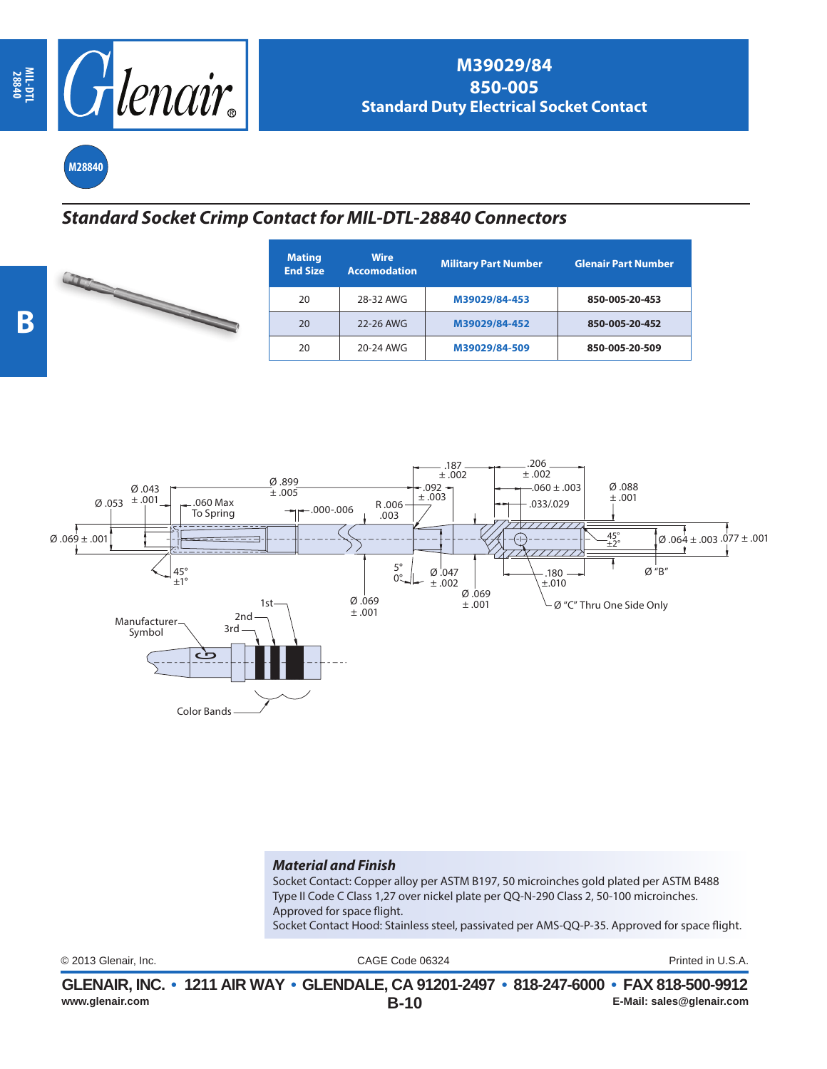

**M28840**

## *Standard Socket Crimp Contact for MIL-DTL-28840 Connectors*

| <b>Mating</b><br><b>End Size</b> | <b>Wire</b><br><b>Accomodation</b> | <b>Military Part Number</b> | <b>Glenair Part Number</b> |
|----------------------------------|------------------------------------|-----------------------------|----------------------------|
| 20                               | 28-32 AWG                          | M39029/84-453               | 850-005-20-453             |
| 20                               | 22-26 AWG                          | M39029/84-452               | 850-005-20-452             |
| 20                               | 20-24 AWG                          | M39029/84-509               | 850-005-20-509             |



## *Material and Finish*

Socket Contact: Copper alloy per ASTM B197, 50 microinches gold plated per ASTM B488 Type II Code C Class 1,27 over nickel plate per QQ-N-290 Class 2, 50-100 microinches. Approved for space flight. Socket Contact Hood: Stainless steel, passivated per AMS-QQ-P-35. Approved for space flight.

CAGE Code 06324 © 2013 Glenair, Inc. Printed in U.S.A.

|                 | GLENAIR, INC. • 1211 AIR WAY • GLENDALE, CA 91201-2497 • 818-247-6000 • FAX 818-500-9912 |                           |
|-----------------|------------------------------------------------------------------------------------------|---------------------------|
| www.glenair.com | <b>B-10</b>                                                                              | E-Mail: sales@qlenair.com |